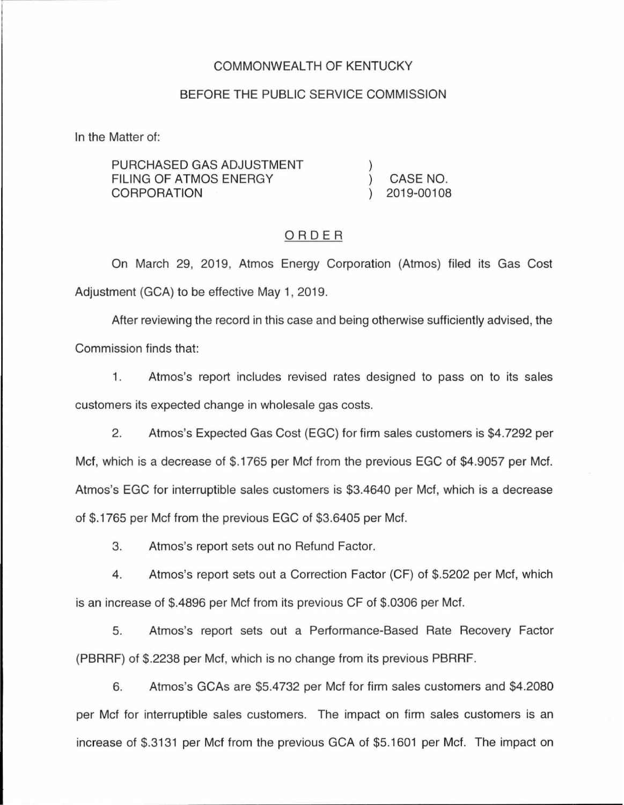### COMMONWEALTH OF KENTUCKY

#### BEFORE THE PUBLIC SERVICE COMMISSION

In the Matter of:

| PURCHASED GAS ADJUSTMENT |            |
|--------------------------|------------|
| FILING OF ATMOS ENERGY   | CASE NO.   |
| CORPORATION              | 2019-00108 |

### ORDER

On March 29, 2019, Atmos Energy Corporation (Atmos) filed its Gas Cost Adjustment (GCA) to be effective May 1, 2019.

After reviewing the record in this case and being otherwise sufficiently advised, the Commission finds that:

1. Atmos's report includes revised rates designed to pass on to its sales customers its expected change in wholesale gas costs.

2. Atmos's Expected Gas Cost (EGC) for firm sales customers is \$4.7292 per Met, which is a decrease of \$.1765 per Met from the previous EGC of \$4.9057 per Met. Atmos's EGC for interruptible sales customers is \$3.4640 per Met, which is a decrease of \$.1765 per Met from the previous EGC of \$3.6405 per Met.

3. Atmos's report sets out no Refund Factor.

4. Atmos's report sets out a Correction Factor (CF) of \$.5202 per Met, which is an increase of \$.4896 per Met from its previous CF of \$.0306 per Met.

5. Atmos's report sets out a Performance-Based Rate Recovery Factor (PBRRF) of \$.2238 per Met, which is no change from its previous PBRRF.

6. Atmos's GCAs are \$5.4732 per Met for firm sales customers and \$4.2080 per Met for interruptible sales customers. The impact on firm sales customers is an increase of \$.3131 per Met from the previous GCA of \$5.1601 per Met. The impact on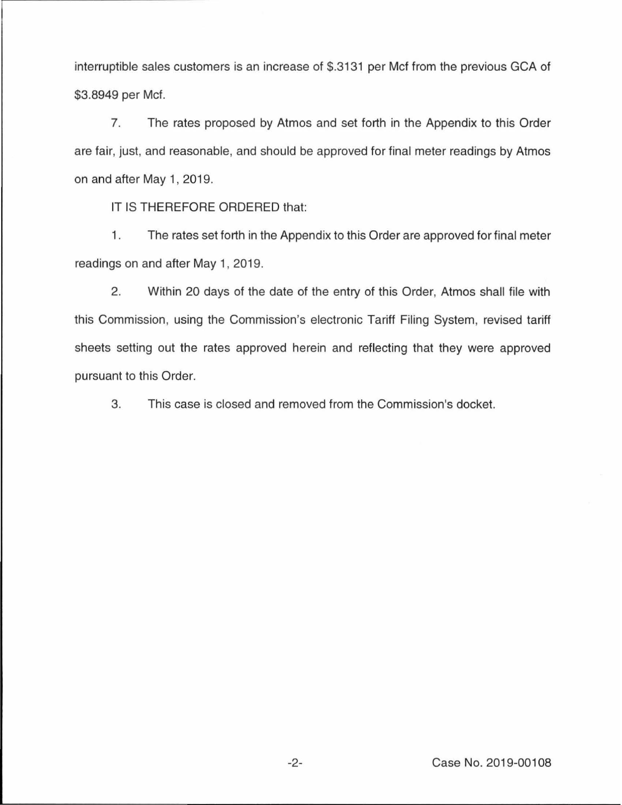interruptible sales customers is an increase of \$.3131 per Met from the previous GCA of \$3.8949 per Met.

7. The rates proposed by Atmos and set forth in the Appendix to this Order are fair, just, and reasonable, and should be approved for final meter readings by Atmos on and after May 1, 2019.

IT IS THEREFORE ORDERED that:

1. The rates set forth in the Appendix to this Order are approved for final meter readings on and after May 1, 2019.

2. Within 20 days of the date of the entry of this Order, Atmos shall file with this Commission, using the Commission's electronic Tariff Filing System, revised tariff sheets setting out the rates approved herein and reflecting that they were approved pursuant to this Order.

3. This case is closed and removed from the Commission's docket.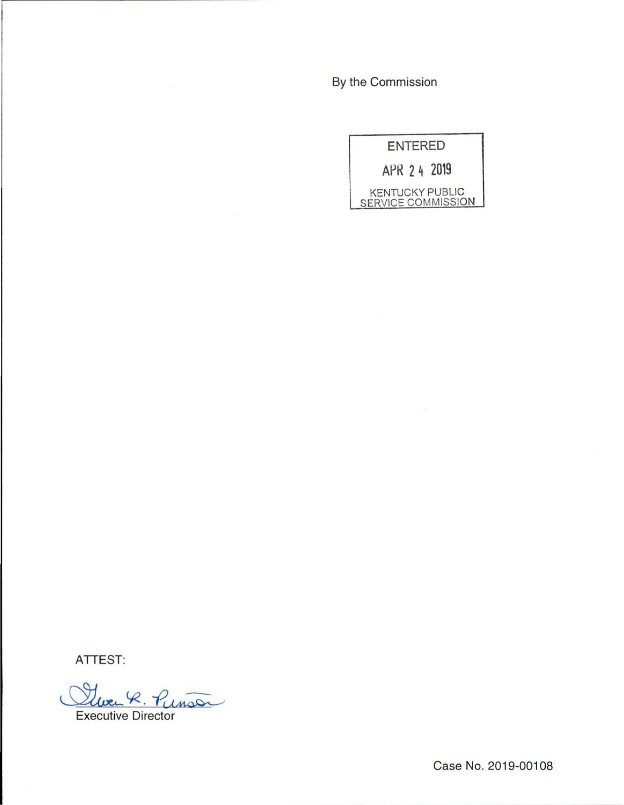By the Commission

| ENTERED                                      |  |
|----------------------------------------------|--|
| APR 2 4 2019                                 |  |
| <b>KENTUCKY PUBLIC</b><br>SERVICE COMMISSION |  |

**ATTEST:** 

Cluer R. Punson

Case No. 2019-00108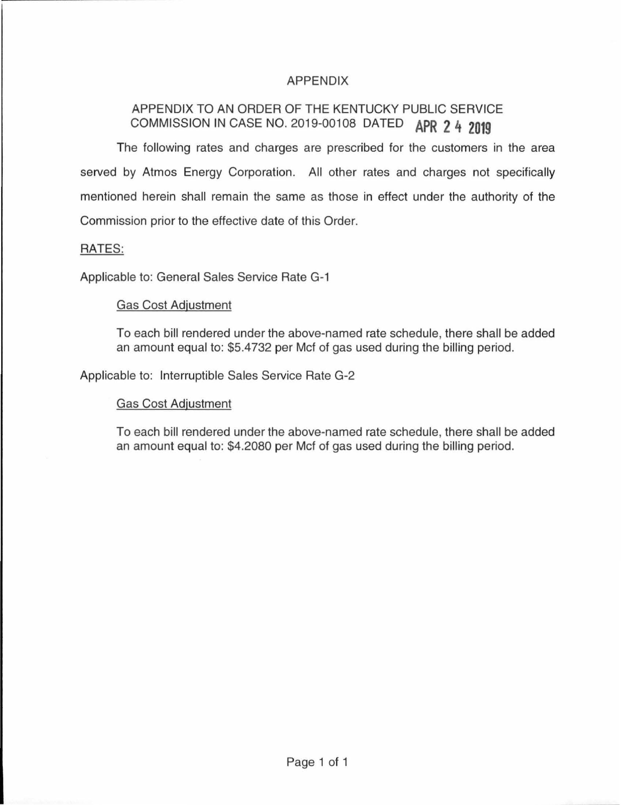## APPENDIX

# APPENDIX TO AN ORDER OF THE KENTUCKY PUBLIC SERVICE COMMISSION IN CASE NO. 2019-00108 DATED **APR 2 4 2019**

The following rates and charges are prescribed for the customers in the area served by Atmos Energy Corporation. All other rates and charges not specifically mentioned herein shall remain the same as those in effect under the authority of the Commission prior to the effective date of this Order.

## RATES:

Applicable to: General Sales Service Rate G-1

### Gas Cost Adjustment

To each bill rendered under the above-named rate schedule, there shall be added an amount equal to: \$5.4732 per Met of gas used during the billing period.

Applicable to: Interruptible Sales Service Rate G-2

### Gas Cost Adjustment

To each bill rendered under the above-named rate schedule, there shall be added an amount equal to: \$4.2080 per Met of gas used during the billing period.